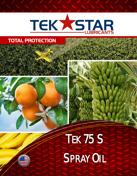

## **TOTAL PROTECTION**



## TEK75S **SPRAY OIL**